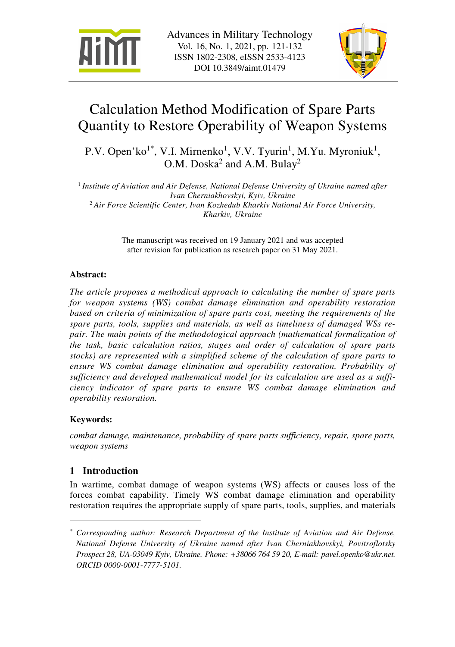



# Calculation Method Modification of Spare Parts Quantity to Restore Operability of Weapon Systems

P.V. Open'ko<sup>1\*</sup>, V.I. Mirnenko<sup>1</sup>, V.V. Tyurin<sup>1</sup>, M.Yu. Myroniuk<sup>1</sup>, O.M. Doska<sup>2</sup> and A.M. Bulay<sup>2</sup>

<sup>1</sup> Institute of Aviation and Air Defense, National Defense University of Ukraine named after *Ivan Cherniakhovskyi, Kyiv, Ukraine* <sup>2</sup> *Air Force Scientific Center, Ivan Kozhedub Kharkiv National Air Force University, Kharkiv, Ukraine*

> The manuscript was received on 19 January 2021 and was accepted after revision for publication as research paper on 31 May 2021.

### **Abstract:**

*The article proposes a methodical approach to calculating the number of spare parts for weapon systems (WS) combat damage elimination and operability restoration based on criteria of minimization of spare parts cost, meeting the requirements of the spare parts, tools, supplies and materials, as well as timeliness of damaged WSs repair. The main points of the methodological approach (mathematical formalization of the task, basic calculation ratios, stages and order of calculation of spare parts stocks) are represented with a simplified scheme of the calculation of spare parts to ensure WS combat damage elimination and operability restoration. Probability of sufficiency and developed mathematical model for its calculation are used as a sufficiency indicator of spare parts to ensure WS combat damage elimination and operability restoration.*

### **Keywords:**

 $\overline{a}$ 

*combat damage, maintenance, probability of spare parts sufficiency, repair, spare parts, weapon systems* 

## **1 Introduction**

In wartime, combat damage of weapon systems (WS) affects or causes loss of the forces combat capability. Timely WS combat damage elimination and operability restoration requires the appropriate supply of spare parts, tools, supplies, and materials

*<sup>\*</sup> Corresponding author: Research Department of the Institute of Aviation and Air Defense, National Defense University of Ukraine named after Ivan Cherniakhovskyi, Povitroflotsky Prospect 28, UA-03049 Kyiv, Ukraine. Phone: +38066 764 59 20, E-mail: pavel.openko@ukr.net. ORCID 0000-0001-7777-5101.*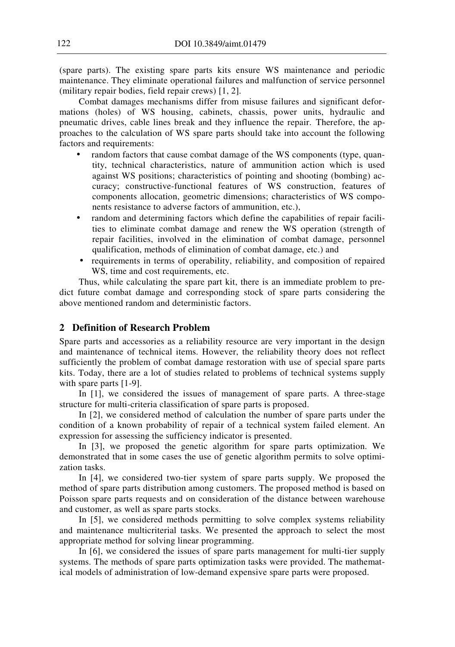(spare parts). The existing spare parts kits ensure WS maintenance and periodic maintenance. They eliminate operational failures and malfunction of service personnel (military repair bodies, field repair crews) [1, 2].

Combat damages mechanisms differ from misuse failures and significant deformations (holes) of WS housing, cabinets, chassis, power units, hydraulic and pneumatic drives, cable lines break and they influence the repair. Therefore, the approaches to the calculation of WS spare parts should take into account the following factors and requirements:

- random factors that cause combat damage of the WS components (type, quantity, technical characteristics, nature of ammunition action which is used against WS positions; characteristics of pointing and shooting (bombing) accuracy; constructive-functional features of WS construction, features of components allocation, geometric dimensions; characteristics of WS components resistance to adverse factors of ammunition, etc.),
- random and determining factors which define the capabilities of repair facilities to eliminate combat damage and renew the WS operation (strength of repair facilities, involved in the elimination of combat damage, personnel qualification, methods of elimination of combat damage, etc.) and
- requirements in terms of operability, reliability, and composition of repaired WS, time and cost requirements, etc.

Thus, while calculating the spare part kit, there is an immediate problem to predict future combat damage and corresponding stock of spare parts considering the above mentioned random and deterministic factors.

## **2 Definition of Research Problem**

Spare parts and accessories as a reliability resource are very important in the design and maintenance of technical items. However, the reliability theory does not reflect sufficiently the problem of combat damage restoration with use of special spare parts kits. Today, there are a lot of studies related to problems of technical systems supply with spare parts [1-9].

In [1], we considered the issues of management of spare parts. A three-stage structure for multi-criteria classification of spare parts is proposed.

In [2], we considered method of calculation the number of spare parts under the condition of a known probability of repair of a technical system failed element. An expression for assessing the sufficiency indicator is presented.

In [3], we proposed the genetic algorithm for spare parts optimization. We demonstrated that in some cases the use of genetic algorithm permits to solve optimization tasks.

In [4], we considered two-tier system of spare parts supply. We proposed the method of spare parts distribution among customers. The proposed method is based on Poisson spare parts requests and on consideration of the distance between warehouse and customer, as well as spare parts stocks.

In [5], we considered methods permitting to solve complex systems reliability and maintenance multicriterial tasks. We presented the approach to select the most appropriate method for solving linear programming.

In [6], we considered the issues of spare parts management for multi-tier supply systems. The methods of spare parts optimization tasks were provided. The mathematical models of administration of low-demand expensive spare parts were proposed.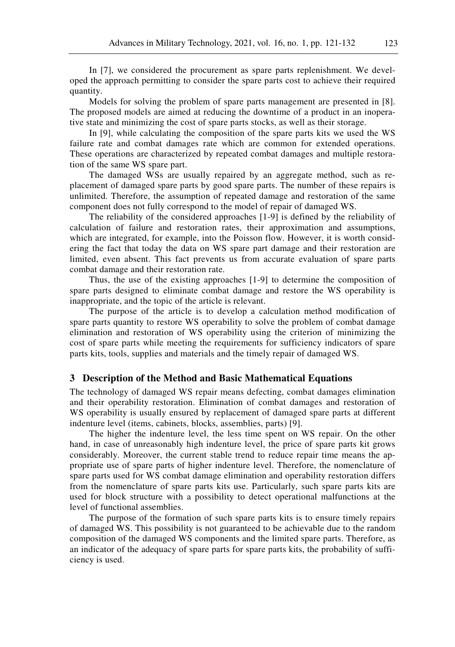In [7], we considered the procurement as spare parts replenishment. We developed the approach permitting to consider the spare parts cost to achieve their required quantity.

Models for solving the problem of spare parts management are presented in [8]. The proposed models are aimed at reducing the downtime of a product in an inoperative state and minimizing the cost of spare parts stocks, as well as their storage.

In [9], while calculating the composition of the spare parts kits we used the WS failure rate and combat damages rate which are common for extended operations. These operations are characterized by repeated combat damages and multiple restoration of the same WS spare part.

The damaged WSs are usually repaired by an aggregate method, such as replacement of damaged spare parts by good spare parts. The number of these repairs is unlimited. Therefore, the assumption of repeated damage and restoration of the same component does not fully correspond to the model of repair of damaged WS.

The reliability of the considered approaches [1-9] is defined by the reliability of calculation of failure and restoration rates, their approximation and assumptions, which are integrated, for example, into the Poisson flow. However, it is worth considering the fact that today the data on WS spare part damage and their restoration are limited, even absent. This fact prevents us from accurate evaluation of spare parts combat damage and their restoration rate.

Thus, the use of the existing approaches [1-9] to determine the composition of spare parts designed to eliminate combat damage and restore the WS operability is inappropriate, and the topic of the article is relevant.

The purpose of the article is to develop a calculation method modification of spare parts quantity to restore WS operability to solve the problem of combat damage elimination and restoration of WS operability using the criterion of minimizing the cost of spare parts while meeting the requirements for sufficiency indicators of spare parts kits, tools, supplies and materials and the timely repair of damaged WS.

#### **3 Description of the Method and Basic Mathematical Equations**

The technology of damaged WS repair means defecting, combat damages elimination and their operability restoration. Elimination of combat damages and restoration of WS operability is usually ensured by replacement of damaged spare parts at different indenture level (items, cabinets, blocks, assemblies, parts) [9].

The higher the indenture level, the less time spent on WS repair. On the other hand, in case of unreasonably high indenture level, the price of spare parts kit grows considerably. Moreover, the current stable trend to reduce repair time means the appropriate use of spare parts of higher indenture level. Therefore, the nomenclature of spare parts used for WS combat damage elimination and operability restoration differs from the nomenclature of spare parts kits use. Particularly, such spare parts kits are used for block structure with a possibility to detect operational malfunctions at the level of functional assemblies.

The purpose of the formation of such spare parts kits is to ensure timely repairs of damaged WS. This possibility is not guaranteed to be achievable due to the random composition of the damaged WS components and the limited spare parts. Therefore, as an indicator of the adequacy of spare parts for spare parts kits, the probability of sufficiency is used.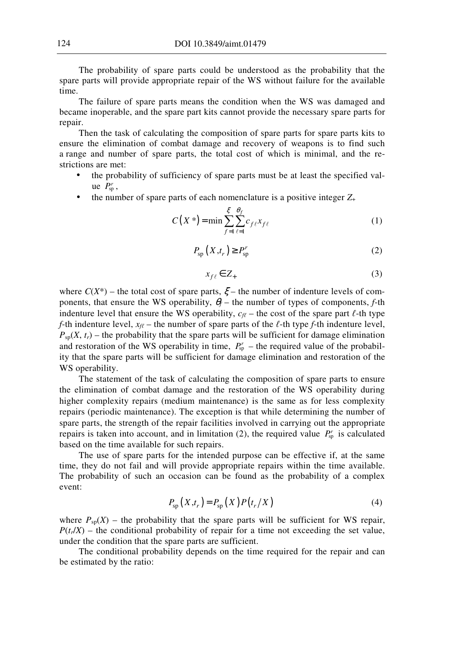The probability of spare parts could be understood as the probability that the spare parts will provide appropriate repair of the WS without failure for the available time.

The failure of spare parts means the condition when the WS was damaged and became inoperable, and the spare part kits cannot provide the necessary spare parts for repair.

Then the task of calculating the composition of spare parts for spare parts kits to ensure the elimination of combat damage and recovery of weapons is to find such a range and number of spare parts, the total cost of which is minimal, and the restrictions are met:

- the probability of sufficiency of spare parts must be at least the specified value  $P_{\rm sp}^r$ ,
- the number of spare parts of each nomenclature is a positive integer  $Z_+$

$$
C(X^*) = \min \sum_{f=1}^{\xi} \sum_{\ell=1}^{\theta_f} c_{f\ell} x_{f\ell}
$$
 (1)

$$
P_{\rm sp}\left(X,t_r\right) \ge P_{\rm sp}^r\tag{2}
$$

$$
x_{f\ell} \in Z_+ \tag{3}
$$

where  $C(X^*)$  – the total cost of spare parts,  $\xi$  – the number of indenture levels of components, that ensure the WS operability,  $\theta_f$  – the number of types of components, *f*-th indenture level that ensure the WS operability,  $c_f$  – the cost of the spare part  $\ell$ -th type *f*-th indenture level,  $x_{\ell\ell}$  – the number of spare parts of the  $\ell$ -th type *f*-th indenture level,  $P_{\text{sp}}(X, t_r)$  – the probability that the spare parts will be sufficient for damage elimination and restoration of the WS operability in time,  $P_{sp}^r$  – the required value of the probability that the spare parts will be sufficient for damage elimination and restoration of the WS operability.

The statement of the task of calculating the composition of spare parts to ensure the elimination of combat damage and the restoration of the WS operability during higher complexity repairs (medium maintenance) is the same as for less complexity repairs (periodic maintenance). The exception is that while determining the number of spare parts, the strength of the repair facilities involved in carrying out the appropriate repairs is taken into account, and in limitation (2), the required value  $P_{\rm sp}^{r}$  is calculated based on the time available for such repairs.

The use of spare parts for the intended purpose can be effective if, at the same time, they do not fail and will provide appropriate repairs within the time available. The probability of such an occasion can be found as the probability of a complex event:

$$
P_{\rm sp}(X,t_r) = P_{\rm sp}(X)P(t_r/X)
$$
\n(4)

where  $P_{sp}(X)$  – the probability that the spare parts will be sufficient for WS repair,  $P(t_t/X)$  – the conditional probability of repair for a time not exceeding the set value, under the condition that the spare parts are sufficient.

The conditional probability depends on the time required for the repair and can be estimated by the ratio: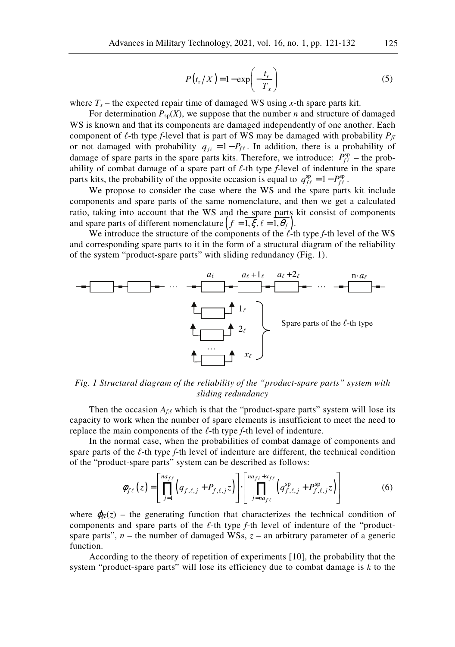$$
P(t_{\rm r}/X) = 1 - \exp\left(-\frac{t_r}{T_x}\right) \tag{5}
$$

where  $T_x$  – the expected repair time of damaged WS using *x*-th spare parts kit.

For determination  $P_{\text{sp}}(X)$ , we suppose that the number *n* and structure of damaged WS is known and that its components are damaged independently of one another. Each component of  $\ell$ -th type *f*-level that is part of WS may be damaged with probability  $P_{\ell\ell}$ or not damaged with probability  $q_{\mu} = 1 - P_{f\ell}$ . In addition, there is a probability of damage of spare parts in the spare parts kits. Therefore, we introduce:  $P_{f\ell}^{\text{sp}}$  – the probability of combat damage of a spare part of *ℓ*-th type *f*-level of indenture in the spare parts kits, the probability of the opposite occasion is equal to  $q_{\text{f}\ell}^{\text{sp}} = 1 - P_{\text{f}\ell}^{\text{sp}}$ .

We propose to consider the case where the WS and the spare parts kit include components and spare parts of the same nomenclature, and then we get a calculated ratio, taking into account that the WS and the spare parts kit consist of components and spare parts of different nomenclature  $(f = 1, \xi, \ell = 1, \theta_f)$ .

We introduce the structure of the components of the *ℓ*-th type *f*-th level of the WS and corresponding spare parts to it in the form of a structural diagram of the reliability of the system "product-spare parts" with sliding redundancy (Fig. 1).



*Fig. 1 Structural diagram of the reliability of the "product-spare parts" system with sliding redundancy* 

Then the occasion  $A_{f,\ell}$  which is that the "product-spare parts" system will lose its capacity to work when the number of spare elements is insufficient to meet the need to replace the main components of the *ℓ*-th type *f*-th level of indenture.

In the normal case, when the probabilities of combat damage of components and spare parts of the *ℓ*-th type *f*-th level of indenture are different, the technical condition of the "product-spare parts" system can be described as follows:

$$
\phi_{f\ell}(z) = \left[ \prod_{j=1}^{n a_{f\ell}} \left( q_{f,\ell,j} + P_{f,\ell,j} z \right) \right] \cdot \left[ \prod_{j=n a_{f\ell}}^{n a_{f\ell} + x_{f\ell}} \left( q_{f,\ell,j}^{sp} + P_{f,\ell,j}^{sp} z \right) \right]
$$
(6)

where  $\varphi_{\ell}(z)$  – the generating function that characterizes the technical condition of components and spare parts of the *ℓ*-th type *f*-th level of indenture of the "productspare parts",  $n -$  the number of damaged WSs,  $z -$  an arbitrary parameter of a generic function.

According to the theory of repetition of experiments [10], the probability that the system "product-spare parts" will lose its efficiency due to combat damage is *k* to the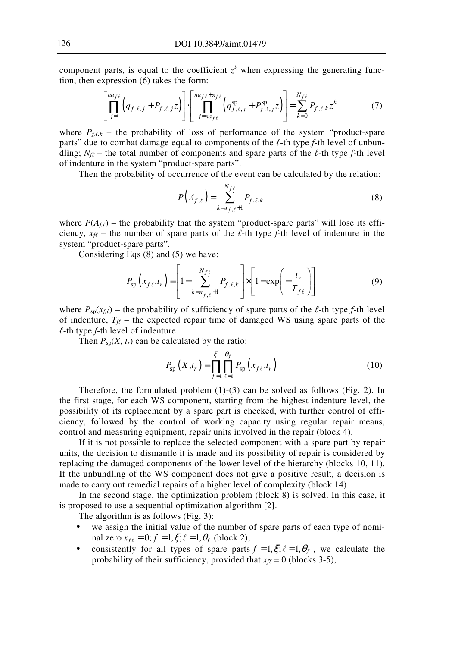component parts, is equal to the coefficient  $z<sup>k</sup>$  when expressing the generating function, then expression (6) takes the form:

$$
\left[\prod_{j=1}^{n a_{f\ell}}\left(q_{f,\ell,j}+P_{f,\ell,j}z\right)\right]\cdot\left[\prod_{j=n a_{f\ell}}^{n a_{f\ell}+x_{f\ell}}\left(q_{f,\ell,j}^{\rm sp}+P_{f,\ell,j}^{\rm sp}z\right)\right]=\sum_{k=0}^{N_{f\ell}}P_{f,\ell,k}z^{k} \tag{7}
$$

where  $P_{f,\ell,k}$  – the probability of loss of performance of the system "product-spare" parts" due to combat damage equal to components of the *ℓ*-th type *f*-th level of unbundling;  $N_f \sim$  the total number of components and spare parts of the  $\ell$ -th type *f*-th level of indenture in the system "product-spare parts".

Then the probability of occurrence of the event can be calculated by the relation:

$$
P(A_{f,\ell}) = \sum_{k=x_{f,\ell}+1}^{N_{f\ell}} P_{f,\ell,k} \tag{8}
$$

where  $P(A_{f,\ell})$  – the probability that the system "product-spare parts" will lose its efficiency,  $x_{\ell\ell}$  – the number of spare parts of the  $\ell$ -th type *f*-th level of indenture in the system "product-spare parts".

Considering Eqs (8) and (5) we have:

$$
P_{\rm sp}\left(x_{f\ell},t_r\right) = \left[1 - \sum_{k=x_{f,\ell}+1}^{N_{f\ell}} P_{f,\ell,k}\right] \times \left[1 - \exp\left(-\frac{t_r}{T_{f\ell}}\right)\right]
$$
(9)

where  $P_{\text{so}}(x_{f,\ell})$  – the probability of sufficiency of spare parts of the  $\ell$ -th type *f*-th level of indenture,  $T_f$  – the expected repair time of damaged WS using spare parts of the *ℓ*-th type *f*-th level of indenture.

Then  $P_{\text{sp}}(X, t_r)$  can be calculated by the ratio:

$$
P_{\rm sp}\left(X,t_{r}\right) = \prod_{f=1}^{\xi} \prod_{\ell=1}^{\theta_{f}} P_{\rm sp}\left(x_{f\ell},t_{r}\right) \tag{10}
$$

Therefore, the formulated problem  $(1)-(3)$  can be solved as follows (Fig. 2). In the first stage, for each WS component, starting from the highest indenture level, the possibility of its replacement by a spare part is checked, with further control of efficiency, followed by the control of working capacity using regular repair means, control and measuring equipment, repair units involved in the repair (block 4).

If it is not possible to replace the selected component with a spare part by repair units, the decision to dismantle it is made and its possibility of repair is considered by replacing the damaged components of the lower level of the hierarchy (blocks 10, 11). If the unbundling of the WS component does not give a positive result, a decision is made to carry out remedial repairs of a higher level of complexity (block 14).

In the second stage, the optimization problem (block 8) is solved. In this case, it is proposed to use a sequential optimization algorithm [2].

The algorithm is as follows (Fig. 3):

- we assign the initial value of the number of spare parts of each type of nominal zero  $x_{f\ell} = 0$ ;  $f = 1, \xi$ ;  $\ell = 1, \theta_f$  (block 2),
- consistently for all types of spare parts  $f = \overline{1,\xi}$ ;  $\ell = \overline{1,\theta_f}$ , we calculate the probability of their sufficiency, provided that  $x_{\ell\ell} = 0$  (blocks 3-5),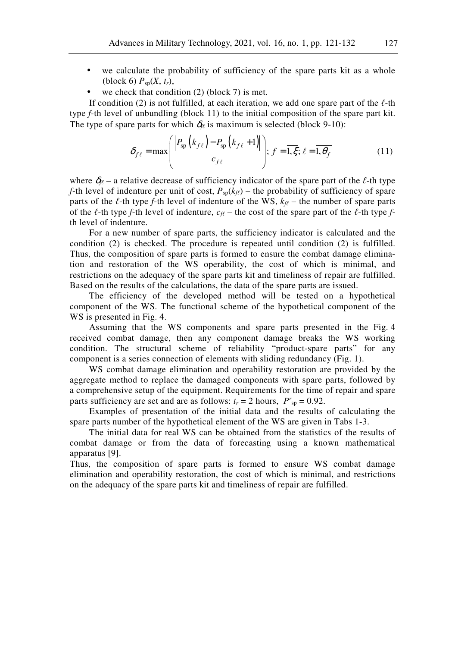- we calculate the probability of sufficiency of the spare parts kit as a whole (block 6)  $P_{\text{sp}}(X, t_r)$ ,
- we check that condition  $(2)$  (block 7) is met.

If condition (2) is not fulfilled, at each iteration, we add one spare part of the *ℓ*-th type *f*-th level of unbundling (block 11) to the initial composition of the spare part kit. The type of spare parts for which  $\delta_{\theta}$  is maximum is selected (block 9-10):

$$
\delta_{f\ell} = \max\left(\frac{\left|P_{\rm sp}\left(k_{f\ell}\right) - P_{\rm sp}\left(k_{f\ell} + 1\right)\right|}{c_{f\ell}}\right); \ f = \overline{1,\xi}; \ \ell = \overline{1,\theta_f} \tag{11}
$$

where  $\delta_{\ell}$  – a relative decrease of sufficiency indicator of the spare part of the  $\ell$ -th type *f*-th level of indenture per unit of cost,  $P_{\text{so}}(k_{\ell\ell})$  – the probability of sufficiency of spare parts of the  $\ell$ -th type  $f$ -th level of indenture of the WS,  $k_{\ell\ell}$  – the number of spare parts of the  $\ell$ -th type *f*-th level of indenture,  $c_{\ell\ell}$  – the cost of the spare part of the  $\ell$ -th type *f*th level of indenture.

For a new number of spare parts, the sufficiency indicator is calculated and the condition (2) is checked. The procedure is repeated until condition (2) is fulfilled. Thus, the composition of spare parts is formed to ensure the combat damage elimination and restoration of the WS operability, the cost of which is minimal, and restrictions on the adequacy of the spare parts kit and timeliness of repair are fulfilled. Based on the results of the calculations, the data of the spare parts are issued.

The efficiency of the developed method will be tested on a hypothetical component of the WS. The functional scheme of the hypothetical component of the WS is presented in Fig. 4.

Assuming that the WS components and spare parts presented in the Fig. 4 received combat damage, then any component damage breaks the WS working condition. The structural scheme of reliability "product-spare parts" for any component is a series connection of elements with sliding redundancy (Fig. 1).

WS combat damage elimination and operability restoration are provided by the aggregate method to replace the damaged components with spare parts, followed by a comprehensive setup of the equipment. Requirements for the time of repair and spare parts sufficiency are set and are as follows:  $t_r = 2$  hours,  $P^r{}_{sp} = 0.92$ .

Examples of presentation of the initial data and the results of calculating the spare parts number of the hypothetical element of the WS are given in Tabs 1-3.

The initial data for real WS can be obtained from the statistics of the results of combat damage or from the data of forecasting using a known mathematical apparatus [9].

Thus, the composition of spare parts is formed to ensure WS combat damage elimination and operability restoration, the cost of which is minimal, and restrictions on the adequacy of the spare parts kit and timeliness of repair are fulfilled.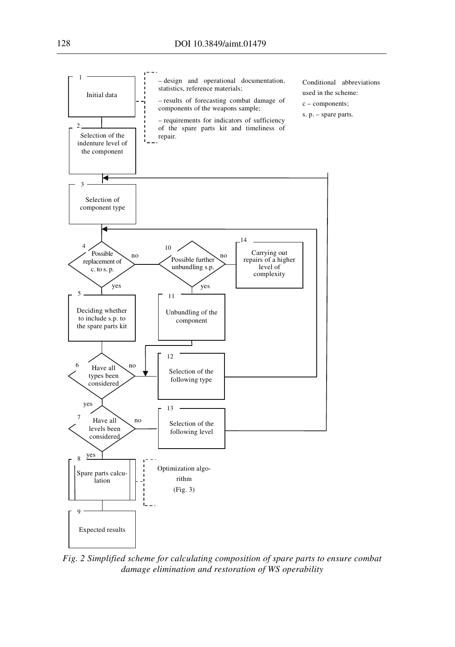

*Fig. 2 Simplified scheme for calculating composition of spare parts to ensure combat damage elimination and restoration of WS operability*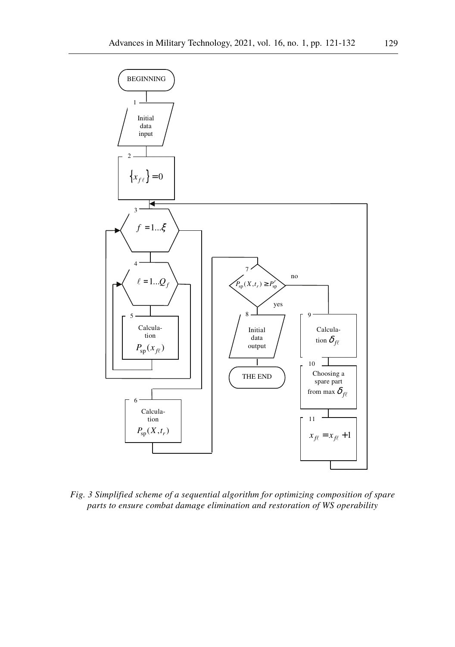

*Fig. 3 Simplified scheme of a sequential algorithm for optimizing composition of spare parts to ensure combat damage elimination and restoration of WS operability*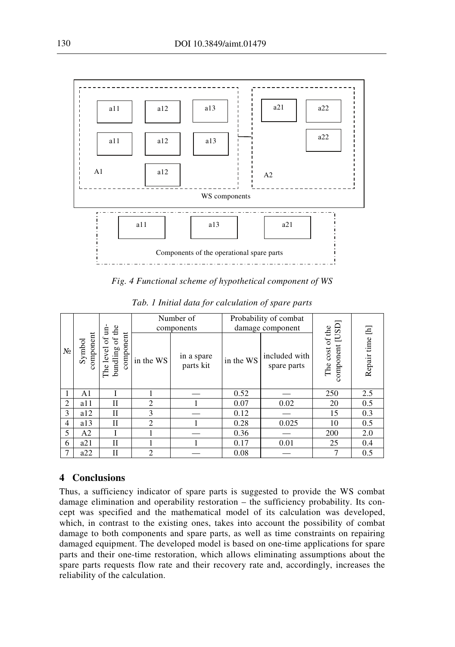

Fig. 4 Functional scheme of hypothetical component of WS

| $N_2$ | Symbol<br>component | the<br>Ë<br>component<br>$\sigma$<br>ð<br>bundling<br>level<br>The | Number of     |                         | Probability of combat |                              |                                    |             |
|-------|---------------------|--------------------------------------------------------------------|---------------|-------------------------|-----------------------|------------------------------|------------------------------------|-------------|
|       |                     |                                                                    | components    |                         | damage component      |                              |                                    | Ξ           |
|       |                     |                                                                    | in the WS     | in a spare<br>parts kit | in the WS             | included with<br>spare parts | The cost of the<br>component [USD] | Repair time |
|       | A1                  |                                                                    |               |                         | 0.52                  |                              | 250                                | 2.5         |
| 2     | a11                 | П                                                                  | 2             |                         | 0.07                  | 0.02                         | 20                                 | 0.5         |
| 3     | a12                 | H                                                                  | 3             |                         | 0.12                  |                              | 15                                 | 0.3         |
| 4     | a13                 | H                                                                  | 2             |                         | 0.28                  | 0.025                        | 10                                 | 0.5         |
| 5     | A2                  |                                                                    |               |                         | 0.36                  |                              | 200                                | 2.0         |
| 6     | a21                 | П                                                                  |               |                         | 0.17                  | 0.01                         | 25                                 | 0.4         |
| 7     | a22                 | Н                                                                  | $\mathcal{L}$ |                         | 0.08                  |                              | 7                                  | 0.5         |

Tab. 1 Initial data for calculation of spare parts

### 4 Conclusions

Thus, a sufficiency indicator of spare parts is suggested to provide the WS combat damage elimination and operability restoration – the sufficiency probability. Its concept was specified and the mathematical model of its calculation was developed, which, in contrast to the existing ones, takes into account the possibility of combat damage to both components and spare parts, as well as time constraints on repairing damaged equipment. The developed model is based on one-time applications for spare parts and their one-time restoration, which allows eliminating assumptions about the spare parts requests flow rate and their recovery rate and, accordingly, increases the reliability of the calculation.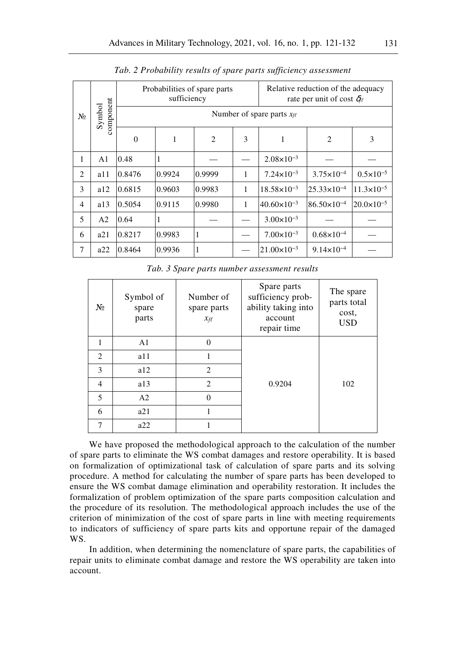| No             | component<br>Symbol |                                | sufficiency | Probabilities of spare parts | Relative reduction of the adequacy<br>rate per unit of cost $\delta_{\ell\ell}$ |                        |                        |                       |  |  |
|----------------|---------------------|--------------------------------|-------------|------------------------------|---------------------------------------------------------------------------------|------------------------|------------------------|-----------------------|--|--|
|                |                     | Number of spare parts $x_{ff}$ |             |                              |                                                                                 |                        |                        |                       |  |  |
|                |                     | $\Omega$                       | 1           | $\overline{2}$               | 3                                                                               | 1                      | 2                      | 3                     |  |  |
| 1              | A1                  | 0.48                           |             |                              |                                                                                 | $2.08 \times 10^{-3}$  |                        |                       |  |  |
| 2              | a11                 | 0.8476                         | 0.9924      | 0.9999                       | 1                                                                               | $7.24 \times 10^{-3}$  | $3.75 \times 10^{-4}$  | $0.5 \times 10^{-5}$  |  |  |
| 3              | a12                 | 0.6815                         | 0.9603      | 0.9983                       | 1                                                                               | $18.58\times10^{-3}$   | $25.33 \times 10^{-4}$ | $11.3\times10^{-5}$   |  |  |
| $\overline{4}$ | a13                 | 0.5054                         | 0.9115      | 0.9980                       | 1                                                                               | $40.60\times10^{-3}$   | $86.50\times10^{-4}$   | $20.0 \times 10^{-5}$ |  |  |
| 5              | A <sub>2</sub>      | 0.64                           |             |                              |                                                                                 | $3.00 \times 10^{-3}$  |                        |                       |  |  |
| 6              | a21                 | 0.8217                         | 0.9983      | 1                            |                                                                                 | $7.00\times10^{-3}$    | $0.68\times10^{-4}$    |                       |  |  |
| 7              | a22                 | 0.8464                         | 0.9936      | 1                            |                                                                                 | $21.00 \times 10^{-3}$ | $9.14 \times 10^{-4}$  |                       |  |  |

Tab. 2 Probability results of spare parts sufficiency assessment

Tab. 3 Spare parts number assessment results

| $N_2$ | Symbol of<br>spare<br>parts | Number of<br>spare parts<br>$x_{\text{f}\ell}$ | Spare parts<br>sufficiency prob-<br>ability taking into<br>account<br>repair time | The spare<br>parts total<br>cost,<br><b>USD</b> |
|-------|-----------------------------|------------------------------------------------|-----------------------------------------------------------------------------------|-------------------------------------------------|
| 1     | A <sub>1</sub>              | $\Omega$                                       |                                                                                   |                                                 |
| 2     | a11                         | 1                                              |                                                                                   |                                                 |
| 3     | a12                         | $\mathfrak{D}$                                 |                                                                                   |                                                 |
| 4     | a13                         | $\mathfrak{D}$                                 | 0.9204                                                                            | 102                                             |
| 5     | A2                          | $\Omega$                                       |                                                                                   |                                                 |
| 6     | a21                         |                                                |                                                                                   |                                                 |
| 7     | a22                         |                                                |                                                                                   |                                                 |

We have proposed the methodological approach to the calculation of the number of spare parts to eliminate the WS combat damages and restore operability. It is based on formalization of optimizational task of calculation of spare parts and its solving procedure. A method for calculating the number of spare parts has been developed to ensure the WS combat damage elimination and operability restoration. It includes the formalization of problem optimization of the spare parts composition calculation and the procedure of its resolution. The methodological approach includes the use of the criterion of minimization of the cost of spare parts in line with meeting requirements to indicators of sufficiency of spare parts kits and opportune repair of the damaged WS.

In addition, when determining the nomenclature of spare parts, the capabilities of repair units to eliminate combat damage and restore the WS operability are taken into account.